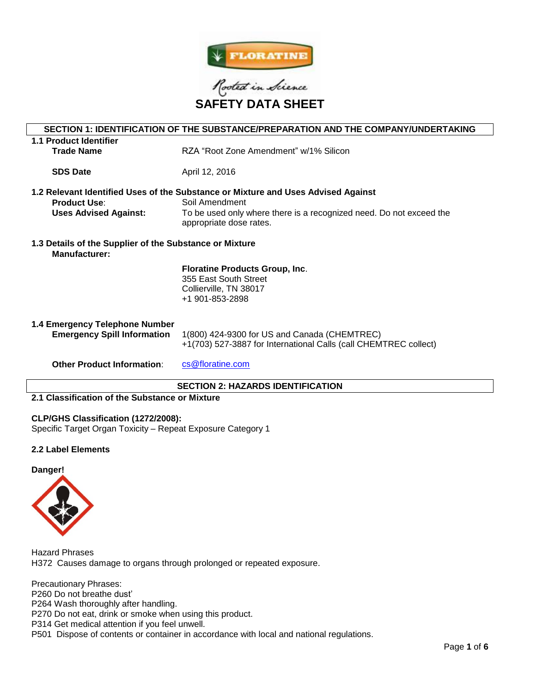



| SECTION 1: IDENTIFICATION OF THE SUBSTANCE/PREPARATION AND THE COMPANY/UNDERTAKING                  |                                                                                                |  |  |  |  |
|-----------------------------------------------------------------------------------------------------|------------------------------------------------------------------------------------------------|--|--|--|--|
| 1.1 Product Identifier                                                                              |                                                                                                |  |  |  |  |
| <b>Trade Name</b>                                                                                   | RZA "Root Zone Amendment" w/1% Silicon                                                         |  |  |  |  |
|                                                                                                     |                                                                                                |  |  |  |  |
| <b>SDS Date</b>                                                                                     | April 12, 2016                                                                                 |  |  |  |  |
|                                                                                                     |                                                                                                |  |  |  |  |
| 1.2 Relevant Identified Uses of the Substance or Mixture and Uses Advised Against<br>Soil Amendment |                                                                                                |  |  |  |  |
| <b>Product Use:</b>                                                                                 |                                                                                                |  |  |  |  |
| <b>Uses Advised Against:</b>                                                                        | To be used only where there is a recognized need. Do not exceed the<br>appropriate dose rates. |  |  |  |  |
|                                                                                                     |                                                                                                |  |  |  |  |
| 1.3 Details of the Supplier of the Substance or Mixture                                             |                                                                                                |  |  |  |  |
| Manufacturer:                                                                                       |                                                                                                |  |  |  |  |
|                                                                                                     | <b>Floratine Products Group, Inc.</b>                                                          |  |  |  |  |
|                                                                                                     | 355 East South Street                                                                          |  |  |  |  |
|                                                                                                     | Collierville, TN 38017                                                                         |  |  |  |  |
|                                                                                                     | +1 901-853-2898                                                                                |  |  |  |  |
|                                                                                                     |                                                                                                |  |  |  |  |
| 1.4 Emergency Telephone Number                                                                      |                                                                                                |  |  |  |  |
| <b>Emergency Spill Information</b>                                                                  | 1(800) 424-9300 for US and Canada (CHEMTREC)                                                   |  |  |  |  |
|                                                                                                     | +1(703) 527-3887 for International Calls (call CHEMTREC collect)                               |  |  |  |  |
| <b>Other Product Information:</b>                                                                   | cs@floratine.com                                                                               |  |  |  |  |
|                                                                                                     |                                                                                                |  |  |  |  |
| <b>SECTION 2: HAZARDS IDENTIFICATION</b>                                                            |                                                                                                |  |  |  |  |

# **2.1 Classification of the Substance or Mixture**

# **CLP/GHS Classification (1272/2008):**

Specific Target Organ Toxicity – Repeat Exposure Category 1

# **2.2 Label Elements**





Hazard Phrases H372 Causes damage to organs through prolonged or repeated exposure.

Precautionary Phrases: P260 Do not breathe dust' P264 Wash thoroughly after handling.

P270 Do not eat, drink or smoke when using this product.

P314 Get medical attention if you feel unwell.

P501 Dispose of contents or container in accordance with local and national regulations.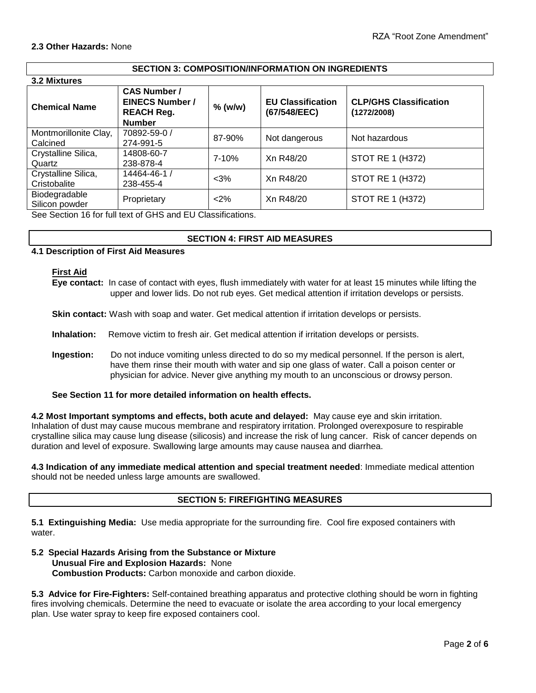### **2.3 Other Hazards:** None

# **SECTION 3: COMPOSITION/INFORMATION ON INGREDIENTS**

| 3.2 Mixtures                        |                                                                                     |           |                                          |                                              |  |  |  |
|-------------------------------------|-------------------------------------------------------------------------------------|-----------|------------------------------------------|----------------------------------------------|--|--|--|
| <b>Chemical Name</b>                | <b>CAS Number /</b><br><b>EINECS Number /</b><br><b>REACH Reg.</b><br><b>Number</b> | $%$ (w/w) | <b>EU Classification</b><br>(67/548/EEC) | <b>CLP/GHS Classification</b><br>(1272/2008) |  |  |  |
| Montmorillonite Clay,<br>Calcined   | 70892-59-0 /<br>274-991-5                                                           | 87-90%    | Not dangerous                            | Not hazardous                                |  |  |  |
| Crystalline Silica,<br>Quartz       | 14808-60-7<br>238-878-4                                                             | $7 - 10%$ | Xn R48/20                                | <b>STOT RE 1 (H372)</b>                      |  |  |  |
| Crystalline Silica,<br>Cristobalite | 14464-46-1 /<br>238-455-4                                                           | $<$ 3%    | Xn R48/20                                | <b>STOT RE 1 (H372)</b>                      |  |  |  |
| Biodegradable<br>Silicon powder     | Proprietary                                                                         | $2\%$     | Xn R48/20                                | <b>STOT RE 1 (H372)</b>                      |  |  |  |

See Section 16 for full text of GHS and EU Classifications.

# **SECTION 4: FIRST AID MEASURES**

# **4.1 Description of First Aid Measures**

#### **First Aid**

**Eye contact:** In case of contact with eyes, flush immediately with water for at least 15 minutes while lifting the upper and lower lids. Do not rub eyes. Get medical attention if irritation develops or persists.

**Skin contact:** Wash with soap and water. Get medical attention if irritation develops or persists.

**Inhalation:** Remove victim to fresh air. Get medical attention if irritation develops or persists.

**Ingestion:** Do not induce vomiting unless directed to do so my medical personnel. If the person is alert, have them rinse their mouth with water and sip one glass of water. Call a poison center or physician for advice. Never give anything my mouth to an unconscious or drowsy person.

# **See Section 11 for more detailed information on health effects.**

**4.2 Most Important symptoms and effects, both acute and delayed:** May cause eye and skin irritation. Inhalation of dust may cause mucous membrane and respiratory irritation. Prolonged overexposure to respirable crystalline silica may cause lung disease (silicosis) and increase the risk of lung cancer. Risk of cancer depends on duration and level of exposure. Swallowing large amounts may cause nausea and diarrhea.

**4.3 Indication of any immediate medical attention and special treatment needed**: Immediate medical attention should not be needed unless large amounts are swallowed.

# **SECTION 5: FIREFIGHTING MEASURES**

**5.1 Extinguishing Media:** Use media appropriate for the surrounding fire. Cool fire exposed containers with water.

### **5.2 Special Hazards Arising from the Substance or Mixture Unusual Fire and Explosion Hazards:** None **Combustion Products:** Carbon monoxide and carbon dioxide.

**5.3 Advice for Fire-Fighters:** Self-contained breathing apparatus and protective clothing should be worn in fighting fires involving chemicals. Determine the need to evacuate or isolate the area according to your local emergency plan. Use water spray to keep fire exposed containers cool.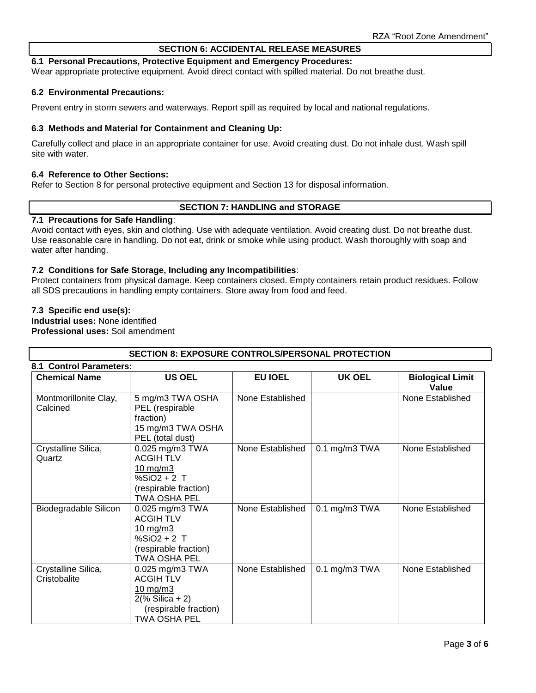# **SECTION 6: ACCIDENTAL RELEASE MEASURES**

### **6.1 Personal Precautions, Protective Equipment and Emergency Procedures:**

Wear appropriate protective equipment. Avoid direct contact with spilled material. Do not breathe dust.

### **6.2 Environmental Precautions:**

Prevent entry in storm sewers and waterways. Report spill as required by local and national regulations.

### **6.3 Methods and Material for Containment and Cleaning Up:**

Carefully collect and place in an appropriate container for use. Avoid creating dust. Do not inhale dust. Wash spill site with water.

# **6.4 Reference to Other Sections:**

Refer to Section 8 for personal protective equipment and Section 13 for disposal information.

# **SECTION 7: HANDLING and STORAGE**

### **7.1 Precautions for Safe Handling**:

Avoid contact with eyes, skin and clothing. Use with adequate ventilation. Avoid creating dust. Do not breathe dust. Use reasonable care in handling. Do not eat, drink or smoke while using product. Wash thoroughly with soap and water after handing.

### **7.2 Conditions for Safe Storage, Including any Incompatibilities**:

Protect containers from physical damage. Keep containers closed. Empty containers retain product residues. Follow all SDS precautions in handling empty containers. Store away from food and feed.

### **7.3 Specific end use(s):**

**Industrial uses:** None identified **Professional uses:** Soil amendment

| <b>SECTION 8: EXPOSURE CONTROLS/PERSONAL PROTECTION</b> |                                                                                                                                |                  |                 |                                  |  |  |  |
|---------------------------------------------------------|--------------------------------------------------------------------------------------------------------------------------------|------------------|-----------------|----------------------------------|--|--|--|
| 8.1 Control Parameters:                                 |                                                                                                                                |                  |                 |                                  |  |  |  |
| <b>Chemical Name</b>                                    | <b>US OEL</b>                                                                                                                  | EU IOEL          | <b>UK OEL</b>   | <b>Biological Limit</b><br>Value |  |  |  |
| Montmorillonite Clay,<br>Calcined                       | 5 mg/m3 TWA OSHA<br>PEL (respirable<br>fraction)<br>15 mg/m3 TWA OSHA<br>PEL (total dust)                                      | None Established |                 | None Established                 |  |  |  |
| Crystalline Silica,<br>Quartz                           | 0.025 mg/m3 TWA<br><b>ACGIH TLV</b><br>$10 \text{ mg/m}$<br>$%SiO2 + 2$ T<br>(respirable fraction)<br><b>TWA OSHA PEL</b>      | None Established | $0.1$ mg/m3 TWA | None Established                 |  |  |  |
| Biodegradable Silicon                                   | 0.025 mg/m3 TWA<br><b>ACGIH TLV</b><br>$10$ mg/m $3$<br>$%SiO2 + 2$ T<br>(respirable fraction)<br>TWA OSHA PEL                 | None Established | $0.1$ mg/m3 TWA | None Established                 |  |  |  |
| Crystalline Silica,<br>Cristobalite                     | 0.025 mg/m3 TWA<br><b>ACGIH TLV</b><br>$10 \text{ mg/m}$<br>$2(\%$ Silica + 2)<br>(respirable fraction)<br><b>TWA OSHA PEL</b> | None Established | $0.1$ mg/m3 TWA | None Established                 |  |  |  |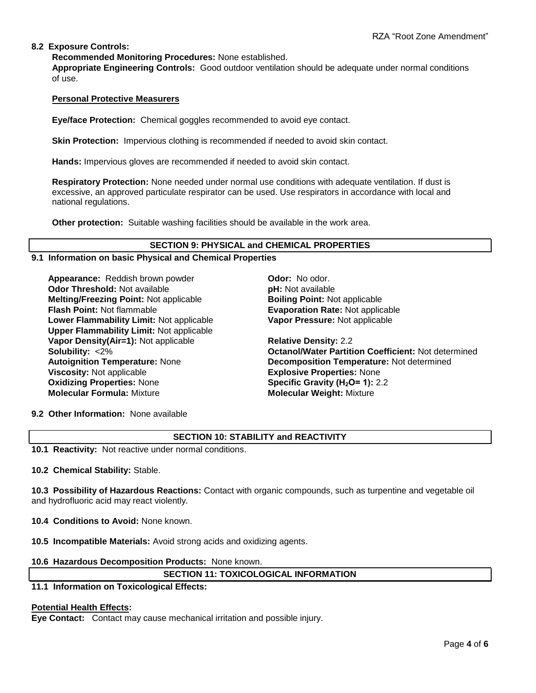# **8.2 Exposure Controls:**

**Recommended Monitoring Procedures:** None established.

**Appropriate Engineering Controls:** Good outdoor ventilation should be adequate under normal conditions of use.

# **Personal Protective Measurers**

**Eye/face Protection:** Chemical goggles recommended to avoid eye contact.

**Skin Protection:** Impervious clothing is recommended if needed to avoid skin contact.

**Hands:** Impervious gloves are recommended if needed to avoid skin contact.

**Respiratory Protection:** None needed under normal use conditions with adequate ventilation. If dust is excessive, an approved particulate respirator can be used. Use respirators in accordance with local and national regulations.

**Other protection:** Suitable washing facilities should be available in the work area.

# **SECTION 9: PHYSICAL and CHEMICAL PROPERTIES**

# **9.1 Information on basic Physical and Chemical Properties**

Appearance: Reddish brown powder **Odor: No odor.** No odor. **Odor Threshold:** Not available **pH:** Not available **Melting/Freezing Point:** Not applicable **Boiling Point:** Not applicable **Flash Point:** Not flammable **Evaporation Rate:** Not applicable **Lower Flammability Limit:** Not applicable **Upper Flammability Limit:** Not applicable **Vapor Density(Air=1):** Not applicable **Relative Density:** 2.2 **Viscosity:** Not applicable **Explosive Properties:** None **Oxidizing Properties:** None **Specific Gravity (H2O= 1):** 2.2 **Molecular Formula:** Mixture **Molecular Weight:** Mixture

**Vapor Pressure:** Not applicable

**Solubility:** <2% **Octanol/Water Partition Coefficient:** Not determined **Autoignition Temperature:** None **Decomposition Temperature:** Not determined

**9.2 Other Information:** None available

# **SECTION 10: STABILITY and REACTIVITY**

**10.1 Reactivity:** Not reactive under normal conditions.

**10.2 Chemical Stability:** Stable.

**10.3 Possibility of Hazardous Reactions:** Contact with organic compounds, such as turpentine and vegetable oil and hydrofluoric acid may react violently.

**10.4 Conditions to Avoid:** None known.

**10.5 Incompatible Materials:** Avoid strong acids and oxidizing agents.

#### **10.6 Hazardous Decomposition Products:** None known.

# **SECTION 11: TOXICOLOGICAL INFORMATION**

**11.1 Information on Toxicological Effects:** 

#### **Potential Health Effects:**

**Eye Contact:** Contact may cause mechanical irritation and possible injury.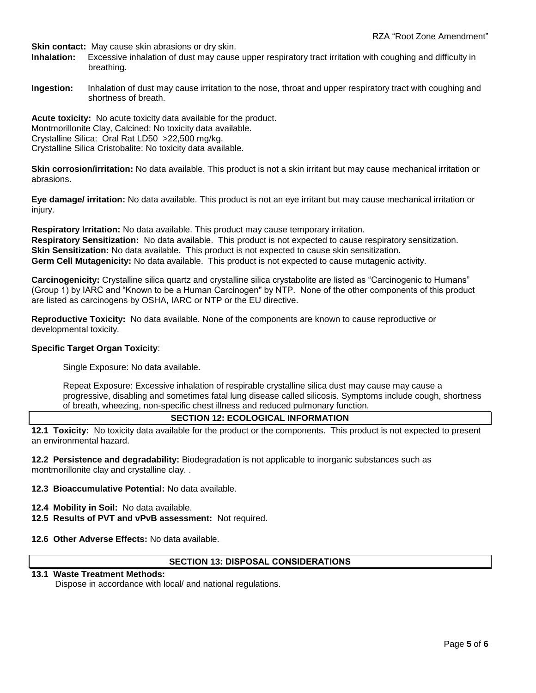**Skin contact:** May cause skin abrasions or dry skin.

- **Inhalation:** Excessive inhalation of dust may cause upper respiratory tract irritation with coughing and difficulty in breathing.
- **Ingestion:** Inhalation of dust may cause irritation to the nose, throat and upper respiratory tract with coughing and shortness of breath.

**Acute toxicity:** No acute toxicity data available for the product. Montmorillonite Clay, Calcined: No toxicity data available. Crystalline Silica: Oral Rat LD50 >22,500 mg/kg. Crystalline Silica Cristobalite: No toxicity data available.

**Skin corrosion/irritation:** No data available. This product is not a skin irritant but may cause mechanical irritation or abrasions.

**Eye damage/ irritation:** No data available. This product is not an eye irritant but may cause mechanical irritation or injury.

**Respiratory Irritation:** No data available. This product may cause temporary irritation. **Respiratory Sensitization:** No data available. This product is not expected to cause respiratory sensitization. **Skin Sensitization:** No data available. This product is not expected to cause skin sensitization. **Germ Cell Mutagenicity:** No data available. This product is not expected to cause mutagenic activity.

**Carcinogenicity:** Crystalline silica quartz and crystalline silica crystabolite are listed as "Carcinogenic to Humans" (Group 1) by IARC and "Known to be a Human Carcinogen" by NTP. None of the other components of this product are listed as carcinogens by OSHA, IARC or NTP or the EU directive.

**Reproductive Toxicity:** No data available. None of the components are known to cause reproductive or developmental toxicity.

# **Specific Target Organ Toxicity**:

Single Exposure: No data available.

Repeat Exposure: Excessive inhalation of respirable crystalline silica dust may cause may cause a progressive, disabling and sometimes fatal lung disease called silicosis. Symptoms include cough, shortness of breath, wheezing, non-specific chest illness and reduced pulmonary function.

# **SECTION 12: ECOLOGICAL INFORMATION**

**12.1 Toxicity:** No toxicity data available for the product or the components. This product is not expected to present an environmental hazard.

**12.2 Persistence and degradability:** Biodegradation is not applicable to inorganic substances such as montmorillonite clay and crystalline clay. .

**12.3 Bioaccumulative Potential:** No data available.

- **12.4 Mobility in Soil:** No data available.
- **12.5 Results of PVT and vPvB assessment:** Not required.
- **12.6 Other Adverse Effects:** No data available.

# **SECTION 13: DISPOSAL CONSIDERATIONS**

# **13.1 Waste Treatment Methods:**

Dispose in accordance with local/ and national regulations.